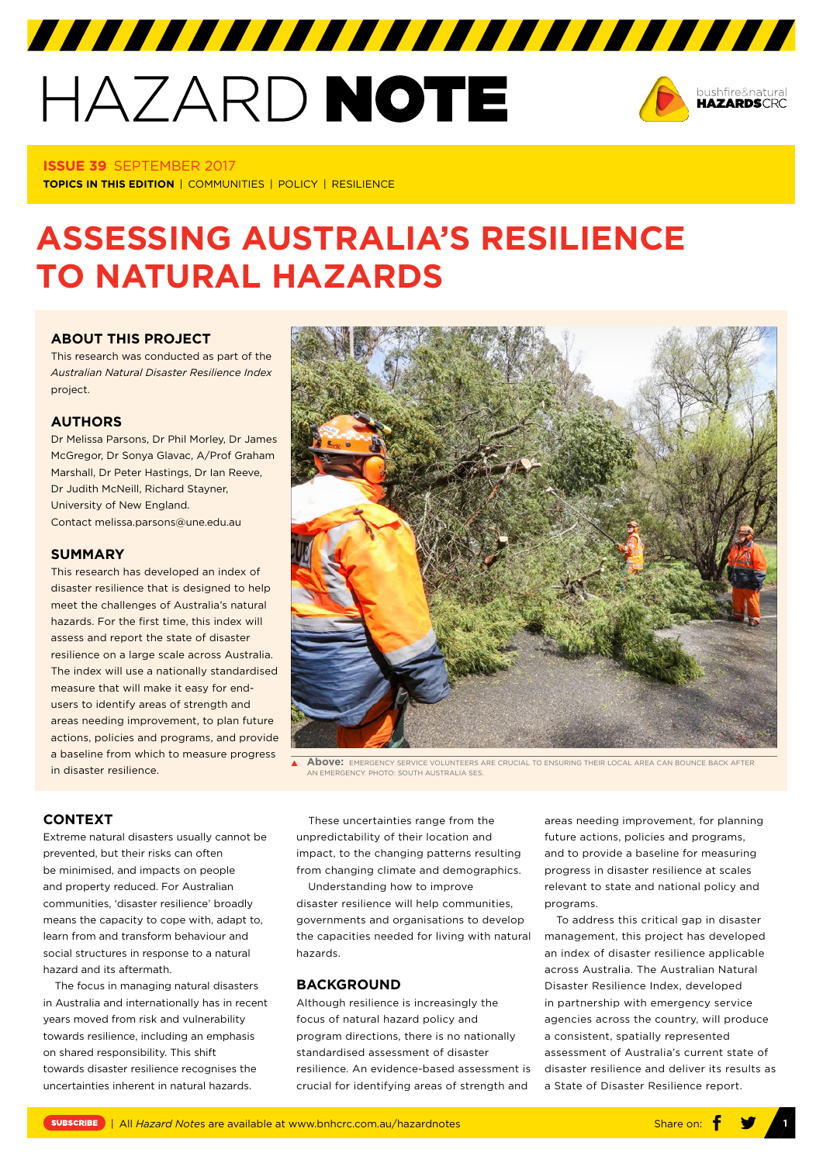# HAZARD NOTE



#### **ISSUE 39** SEPTEMBER 2017

**TOPICS IN THIS EDITION** | COMMUNITIES | POLICY | RESILIENCE

# **ASSESSING AUSTRALIA'S RESILIENCE TO NATURAL HAZARDS**

# **[ABOUT THIS PROJECT](https://www.bnhcrc.com.au/research/hazard-resilience/251)**

This research was conducted as part of the *Australian Natural Disaster Resilience Index* project.

## **AUTHORS**

Dr Melissa Parsons, Dr Phil Morley, Dr James McGregor, Dr Sonya Glavac, A/Prof Graham Marshall, Dr Peter Hastings, Dr Ian Reeve, Dr Judith McNeill, Richard Stayner, University of New England. Contact melissa.parsons@une.edu.au

#### **SUMMARY**

This research has developed an index of disaster resilience that is designed to help meet the challenges of Australia's natural hazards. For the first time, this index will assess and report the state of disaster resilience on a large scale across Australia. The index will use a nationally standardised measure that will make it easy for endusers to identify areas of strength and areas needing improvement, to plan future actions, policies and programs, and provide a baseline from which to measure progress in disaster resilience.



**Above:** EMERGENCY SERVICE VOLUNTEERS ARE CRUCIAL TO ENSURING THEIR LOCAL AREA CAN BOUNCE BACK AFTER **IN EMERGENCY, PHOTO: SOUTH AUSTRALIA SES** 

## **CONTEXT**

Extreme natural disasters usually cannot be prevented, but their risks can often be minimised, and impacts on people and property reduced. For Australian communities, 'disaster resilience' broadly means the capacity to cope with, adapt to, learn from and transform behaviour and social structures in response to a natural hazard and its aftermath.

The focus in managing natural disasters in Australia and internationally has in recent years moved from risk and vulnerability towards resilience, including an emphasis on shared responsibility. This shift towards disaster resilience recognises the uncertainties inherent in natural hazards.

These uncertainties range from the unpredictability of their location and impact, to the changing patterns resulting from changing climate and demographics.

Understanding how to improve disaster resilience will help communities, governments and organisations to develop the capacities needed for living with natural hazards.

#### **BACKGROUND**

Although resilience is increasingly the focus of natural hazard policy and program directions, there is no nationally standardised assessment of disaster resilience. An evidence-based assessment is crucial for identifying areas of strength and

areas needing improvement, for planning future actions, policies and programs, and to provide a baseline for measuring progress in disaster resilience at scales relevant to state and national policy and programs.

To address this critical gap in disaster management, this project has developed an index of disaster resilience applicable across Australia. The Australian Natural Disaster Resilience Index, developed in partnership with emergency service agencies across the country, will produce a consistent, spatially represented assessment of Australia's current state of disaster resilience and deliver its results as a State of Disaster Resilience report.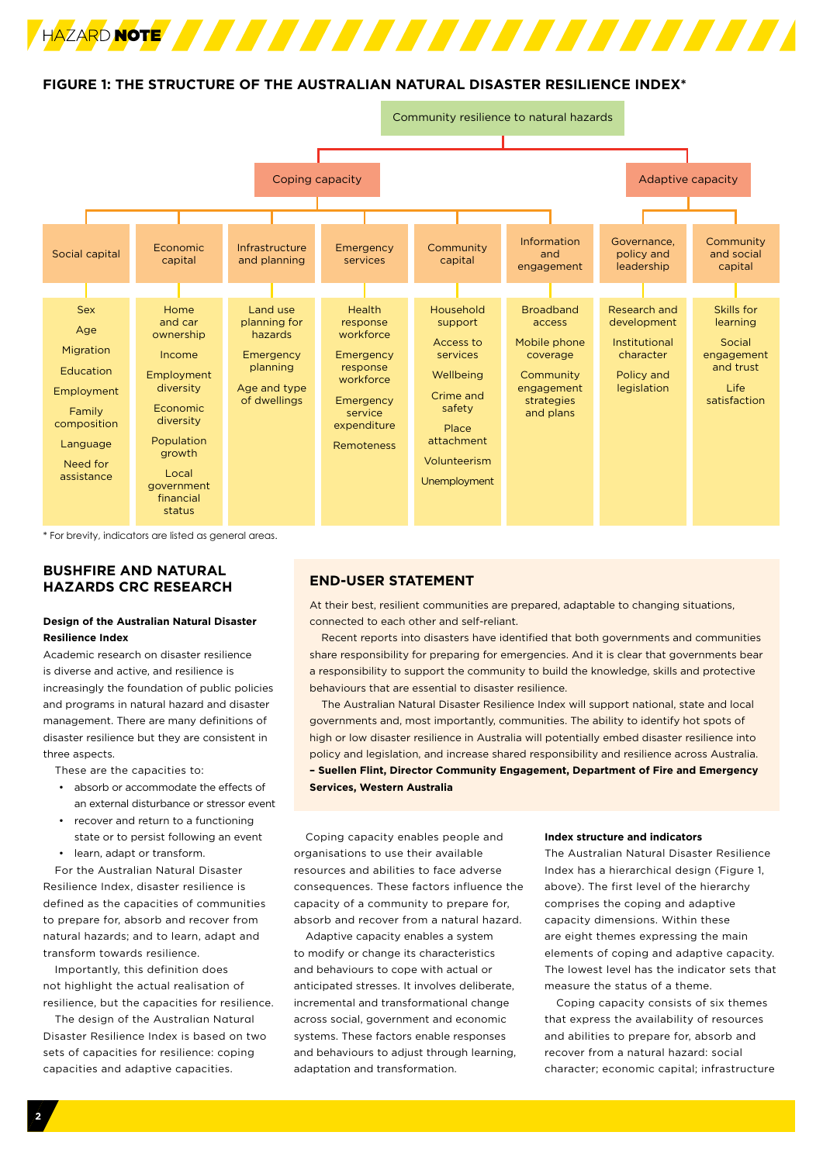

# **FIGURE 1: THE STRUCTURE OF THE AUSTRALIAN NATURAL DISASTER RESILIENCE INDEX\***



\* For brevity, indicators are listed as general areas.

# **BUSHFIRE AND NATURAL HAZARDS CRC RESEARCH**

#### **Design of the Australian Natural Disaster Resilience Index**

Academic research on disaster resilience is diverse and active, and resilience is increasingly the foundation of public policies and programs in natural hazard and disaster management. There are many definitions of disaster resilience but they are consistent in three aspects.

These are the capacities to:

- absorb or accommodate the effects of an external disturbance or stressor event
- recover and return to a functioning state or to persist following an event
- learn, adapt or transform.

For the Australian Natural Disaster Resilience Index, disaster resilience is defined as the capacities of communities to prepare for, absorb and recover from natural hazards; and to learn, adapt and transform towards resilience.

Importantly, this definition does not highlight the actual realisation of resilience, but the capacities for resilience.

The design of the Australian Natural Disaster Resilience Index is based on two sets of capacities for resilience: coping capacities and adaptive capacities.

# **END-USER STATEMENT**

At their best, resilient communities are prepared, adaptable to changing situations, connected to each other and self-reliant.

Recent reports into disasters have identified that both governments and communities share responsibility for preparing for emergencies. And it is clear that governments bear a responsibility to support the community to build the knowledge, skills and protective behaviours that are essential to disaster resilience.

The Australian Natural Disaster Resilience Index will support national, state and local governments and, most importantly, communities. The ability to identify hot spots of high or low disaster resilience in Australia will potentially embed disaster resilience into policy and legislation, and increase shared responsibility and resilience across Australia. **– Suellen Flint, Director Community Engagement, Department of Fire and Emergency Services, Western Australia** 

Coping capacity enables people and organisations to use their available resources and abilities to face adverse consequences. These factors influence the capacity of a community to prepare for, absorb and recover from a natural hazard.

Adaptive capacity enables a system to modify or change its characteristics and behaviours to cope with actual or anticipated stresses. It involves deliberate, incremental and transformational change across social, government and economic systems. These factors enable responses and behaviours to adjust through learning, adaptation and transformation.

#### **Index structure and indicators**

The Australian Natural Disaster Resilience Index has a hierarchical design (Figure 1, above). The first level of the hierarchy comprises the coping and adaptive capacity dimensions. Within these are eight themes expressing the main elements of coping and adaptive capacity. The lowest level has the indicator sets that measure the status of a theme.

Coping capacity consists of six themes that express the availability of resources and abilities to prepare for, absorb and recover from a natural hazard: social character; economic capital; infrastructure

**2**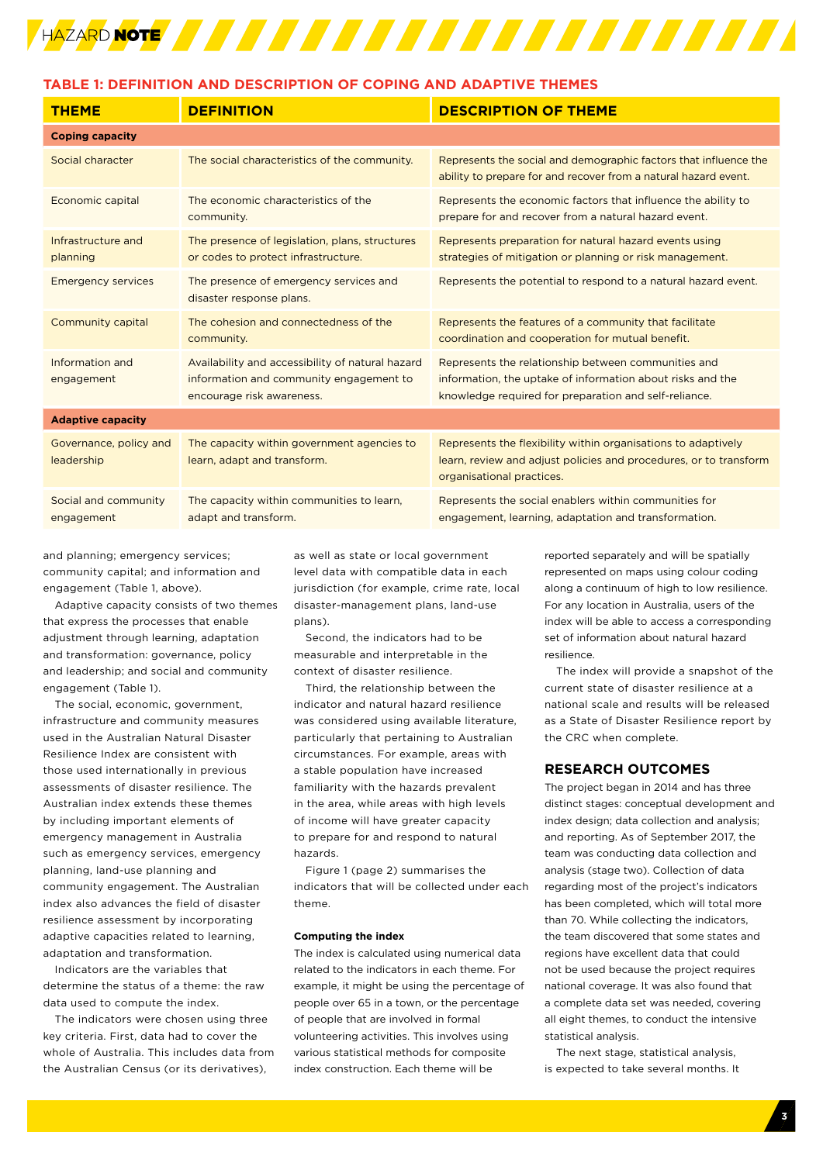

# **TABLE 1: DEFINITION AND DESCRIPTION OF COPING AND ADAPTIVE THEMES**

| <b>THEME</b>                         | <b>DEFINITION</b>                                                                                                        | <b>DESCRIPTION OF THEME</b>                                                                                                                                                |
|--------------------------------------|--------------------------------------------------------------------------------------------------------------------------|----------------------------------------------------------------------------------------------------------------------------------------------------------------------------|
| <b>Coping capacity</b>               |                                                                                                                          |                                                                                                                                                                            |
| Social character                     | The social characteristics of the community.                                                                             | Represents the social and demographic factors that influence the<br>ability to prepare for and recover from a natural hazard event.                                        |
| Economic capital                     | The economic characteristics of the<br>community.                                                                        | Represents the economic factors that influence the ability to<br>prepare for and recover from a natural hazard event.                                                      |
| Infrastructure and<br>planning       | The presence of legislation, plans, structures<br>or codes to protect infrastructure.                                    | Represents preparation for natural hazard events using<br>strategies of mitigation or planning or risk management.                                                         |
| <b>Emergency services</b>            | The presence of emergency services and<br>disaster response plans.                                                       | Represents the potential to respond to a natural hazard event.                                                                                                             |
| Community capital                    | The cohesion and connectedness of the<br>community.                                                                      | Represents the features of a community that facilitate<br>coordination and cooperation for mutual benefit.                                                                 |
| Information and<br>engagement        | Availability and accessibility of natural hazard<br>information and community engagement to<br>encourage risk awareness. | Represents the relationship between communities and<br>information, the uptake of information about risks and the<br>knowledge required for preparation and self-reliance. |
| <b>Adaptive capacity</b>             |                                                                                                                          |                                                                                                                                                                            |
| Governance, policy and<br>leadership | The capacity within government agencies to<br>learn, adapt and transform.                                                | Represents the flexibility within organisations to adaptively<br>learn, review and adjust policies and procedures, or to transform<br>organisational practices.            |
| Social and community<br>engagement   | The capacity within communities to learn,<br>adapt and transform.                                                        | Represents the social enablers within communities for<br>engagement, learning, adaptation and transformation.                                                              |

and planning; emergency services; community capital; and information and engagement (Table 1, above).

Adaptive capacity consists of two themes that express the processes that enable adjustment through learning, adaptation and transformation: governance, policy and leadership; and social and community engagement (Table 1).

The social, economic, government, infrastructure and community measures used in the Australian Natural Disaster Resilience Index are consistent with those used internationally in previous assessments of disaster resilience. The Australian index extends these themes by including important elements of emergency management in Australia such as emergency services, emergency planning, land-use planning and community engagement. The Australian index also advances the field of disaster resilience assessment by incorporating adaptive capacities related to learning, adaptation and transformation.

Indicators are the variables that determine the status of a theme: the raw data used to compute the index.

The indicators were chosen using three key criteria. First, data had to cover the whole of Australia. This includes data from the Australian Census (or its derivatives),

as well as state or local government level data with compatible data in each jurisdiction (for example, crime rate, local disaster-management plans, land-use plans).

Second, the indicators had to be measurable and interpretable in the context of disaster resilience.

Third, the relationship between the indicator and natural hazard resilience was considered using available literature, particularly that pertaining to Australian circumstances. For example, areas with a stable population have increased familiarity with the hazards prevalent in the area, while areas with high levels of income will have greater capacity to prepare for and respond to natural hazards.

Figure 1 (page 2) summarises the indicators that will be collected under each theme.

#### **Computing the index**

The index is calculated using numerical data related to the indicators in each theme. For example, it might be using the percentage of people over 65 in a town, or the percentage of people that are involved in formal volunteering activities. This involves using various statistical methods for composite index construction. Each theme will be

reported separately and will be spatially represented on maps using colour coding along a continuum of high to low resilience. For any location in Australia, users of the index will be able to access a corresponding set of information about natural hazard resilience.

The index will provide a snapshot of the current state of disaster resilience at a national scale and results will be released as a State of Disaster Resilience report by the CRC when complete.

#### **RESEARCH OUTCOMES**

The project began in 2014 and has three distinct stages: conceptual development and index design; data collection and analysis; and reporting. As of September 2017, the team was conducting data collection and analysis (stage two). Collection of data regarding most of the project's indicators has been completed, which will total more than 70. While collecting the indicators, the team discovered that some states and regions have excellent data that could not be used because the project requires national coverage. It was also found that a complete data set was needed, covering all eight themes, to conduct the intensive statistical analysis.

The next stage, statistical analysis, is expected to take several months. It